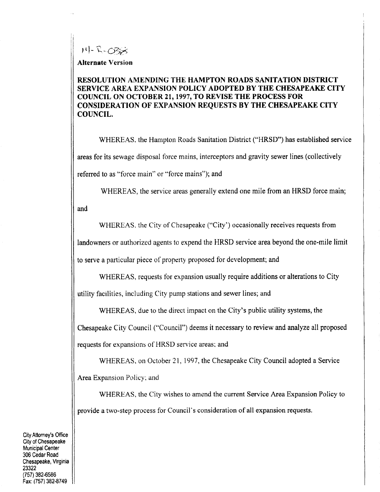$14 - R - O333$ 

Alternate Version

## RESOLUTION AMENDING THE HAMPTON ROADS SANITATION DISTRICT SERVICE AREA EXPANSION POLICY ADOPTED BY THE CHESAPEAKE CITY COUNCIL ON OCTOBER 21, 1997, TO REVISE THE PROCESS FOR CONSIDERATION OF EXPANSION REQUESTS BY THE CHESAPEAKE CITY COUNCIL

WHEREAS, the Hampton Roads Sanitation District ("HRSD") has established service areas for its sewage disposal force mains, interceptors and gravity sewer lines (collectively referred to as "force main" or "force mains"); and

WHEREAS, the service areas generally extend one mile from an HRSD force main;

and

WHEREAS, the City of Chesapeake ("City") occasionally receives requests from

landowners or authorized agents to expend the HRSD service area beyond the one-mile limit

to serve a particular piece of property proposed for development; and

WHEREAS, requests for expansion usually require additions or alterations to City

utility facilities, including City pump stations and sewer lines; and

WHEREAS, due to the direct impact on the City's public utility systems, the

Chesapeake City Council ("Council") deems it necessary to review and analyze all proposed requests for expansions of HRSD service areas; and

WHEREAS, on October 21, 1997, the Chesapeake City Council adopted a Service Area Expansion Policy; and

WHEREAS the City wishes to amend the current Service Area Expansion Policy to provide a two-step process for Council's consideration of all expansion requests.

City Attorney's Office City of Chesapeake Municipal Center 306 Cedar Road Chesapeake, Virginia 23322 (757) 382-6586 Fax: (757) 382-8749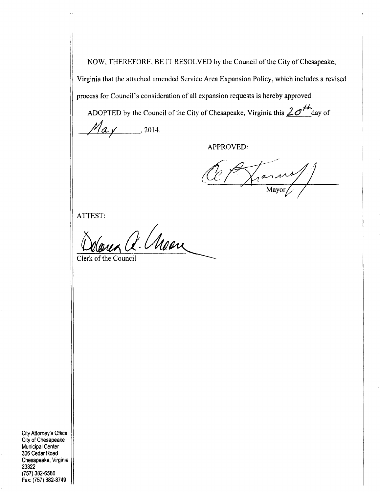NOW, THEREFORE, BE IT RESOLVED by the Council of the City of Chesapeake,<br>Virginia that the attached amended Service Area Expansion Policy, which includes a rev.<br>process for Council's consideration of all expansion request Virginia that the attached amended Service Area Expansion Policy which includes <sup>a</sup> revised

ADOPTED by the Council of the City of Chesapeake, Virginia this  $2\sigma^{\mu}$  day of  $M_{a}$   $/$  2014.

APPROVED

Cle Aran

ATTEST

mux Q. Moon Clerk of the Council

City Attorney's Office City of Chesapeake Municipal Center 306 Cedar Road Chesapeake, Virginia 23322 <sup>757</sup> 382 6586 Fax: (757) 382-8749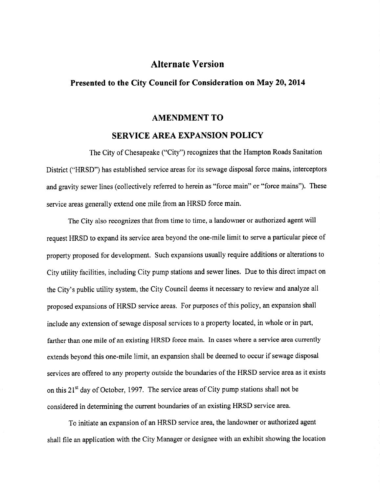# Alternate Version

## Presented to the City Council for Consideration on May 20, 2014

#### AMENDMENT TO

#### SERVICE AREA EXPANSION POLICY

The City of Chesapeake ("City") recognizes that the Hampton Roads Sanitation District ("HRSD") has established service areas for its sewage disposal force mains, interceptors and gravity sewer lines (collectively referred to herein as "force main" or "force mains"). These service areas generally extend one mile from an HRSD force main

The City also recognizes that from time to time, a landowner or authorized agent will request HRSD to expand its service area beyond the one-mile limit to serve a particular piece of property proposed for development. Such expansions usually require additions or alterations to City utility facilities, including City pump stations and sewer lines. Due to this direct impact on the City's public utility system, the City Council deems it necessary to review and analyze all proposed expansions of HRSD service areas. For purposes of this policy, an expansion shall include any extension of sewage disposal services to a property located, in whole or in part, farther than one mile of an existing HRSD force main. In cases where a service area currently extends beyond this one-mile limit, an expansion shall be deemed to occur if sewage disposal services are offered to any property outside the boundaries of the HRSD service area as it exists on this  $21<sup>st</sup>$  day of October, 1997. The service areas of City pump stations shall not be considered in determining the current boundaries of an existing HRSD service area

To initiate an expansion of an HRSD service area, the landowner or authorized agent shall file an application with the City Manager or designee with an exhibit showing the location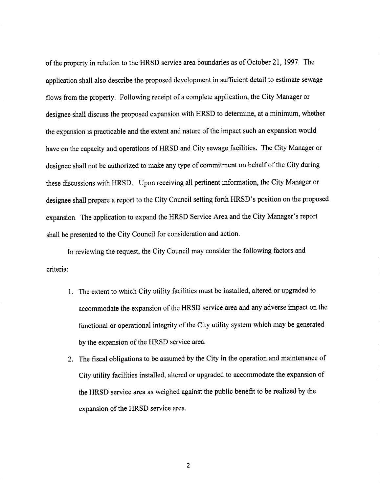of the property in relation to the HRSD service area boundaries as of October 21, 1997. The application shall also describe the proposed development in sufficient detail to estimate sewage flows from the property. Following receipt of a complete application, the City Manager or designee shall discuss the proposed expansion with HRSD to determine, at a minimum, whether the expansion is practicable and the extent and nature of the impact such an expansion would have on the capacity and operations of HRSD and City sewage facilities. The City Manager or designee shall not be authorized to make any type of commitment on behalf of the City during these discussions with HRSD. Upon receiving all pertinent information, the City Manager or designee shall not be authorized to make any type of communient on behand of the City during<br>these discussions with HRSD. Upon receiving all pertinent information, the City Manager or<br>designee shall prepare a report to the these discussions with HRSD. Upon receiving all pertinent information, the City Manager of<br>designee shall prepare a report to the City Council setting forth HRSD's position on the prope<br>expansion. The application to expand shall be presented to the City Council for consideration and action

In reviewing the request, the City Council may consider the following factors and criteria

- 1. The extent to which City utility facilities must be installed, altered or upgraded to accommodate the expansion of the HRSD service area and any adverse impact on the functional or operational integrity of the City utility system which may be generated by the expansion of the HRSD service area
- 2. The fiscal obligations to be assumed by the City in the operation and maintenance of City utility facilities installed, altered or upgraded to accommodate the expansion of the HRSD service area as weighed against the public benefit to be realized by the expansion of the HRSD service area

2